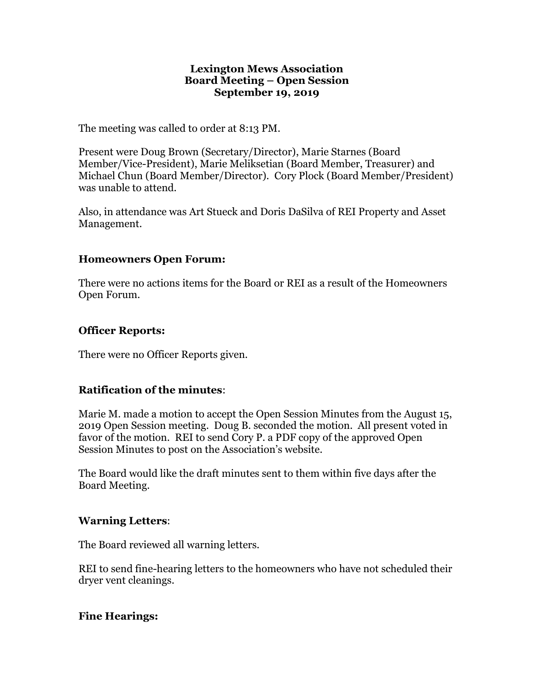#### **Lexington Mews Association Board Meeting – Open Session September 19, 2019**

The meeting was called to order at 8:13 PM.

Present were Doug Brown (Secretary/Director), Marie Starnes (Board Member/Vice-President), Marie Meliksetian (Board Member, Treasurer) and Michael Chun (Board Member/Director). Cory Plock (Board Member/President) was unable to attend.

Also, in attendance was Art Stueck and Doris DaSilva of REI Property and Asset Management.

## **Homeowners Open Forum:**

There were no actions items for the Board or REI as a result of the Homeowners Open Forum.

## **Officer Reports:**

There were no Officer Reports given.

# **Ratification of the minutes**:

Marie M. made a motion to accept the Open Session Minutes from the August 15, 2019 Open Session meeting. Doug B. seconded the motion. All present voted in favor of the motion. REI to send Cory P. a PDF copy of the approved Open Session Minutes to post on the Association's website.

The Board would like the draft minutes sent to them within five days after the Board Meeting.

### **Warning Letters**:

The Board reviewed all warning letters.

REI to send fine-hearing letters to the homeowners who have not scheduled their dryer vent cleanings.

### **Fine Hearings:**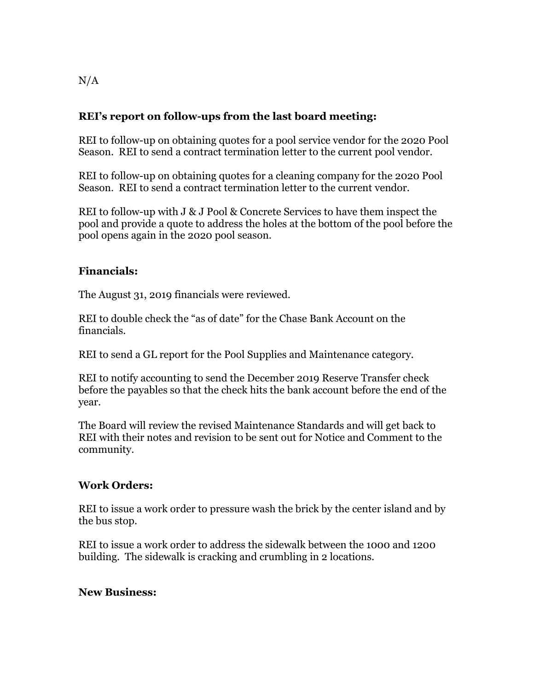# **REI's report on follow-ups from the last board meeting:**

REI to follow-up on obtaining quotes for a pool service vendor for the 2020 Pool Season. REI to send a contract termination letter to the current pool vendor.

REI to follow-up on obtaining quotes for a cleaning company for the 2020 Pool Season. REI to send a contract termination letter to the current vendor.

REI to follow-up with J & J Pool & Concrete Services to have them inspect the pool and provide a quote to address the holes at the bottom of the pool before the pool opens again in the 2020 pool season.

## **Financials:**

The August 31, 2019 financials were reviewed.

REI to double check the "as of date" for the Chase Bank Account on the financials.

REI to send a GL report for the Pool Supplies and Maintenance category.

REI to notify accounting to send the December 2019 Reserve Transfer check before the payables so that the check hits the bank account before the end of the year.

The Board will review the revised Maintenance Standards and will get back to REI with their notes and revision to be sent out for Notice and Comment to the community.

# **Work Orders:**

REI to issue a work order to pressure wash the brick by the center island and by the bus stop.

REI to issue a work order to address the sidewalk between the 1000 and 1200 building. The sidewalk is cracking and crumbling in 2 locations.

### **New Business:**

 $N/A$